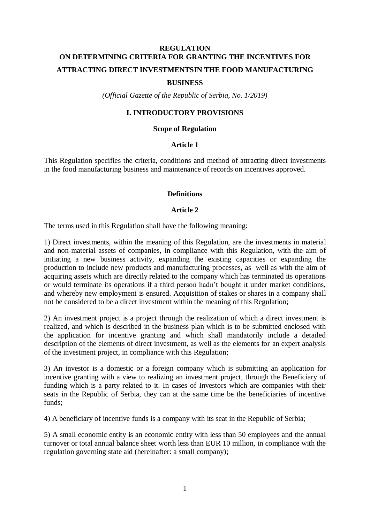# **REGULATION ON DETERMINING CRITERIA FOR GRANTING THE INCENTIVES FOR ATTRACTING DIRECT INVESTMENTSIN THE FOOD MANUFACTURING BUSINESS**

*(Official Gazette of the Republic of Serbia, No. 1/2019)*

# **I. INTRODUCTORY PROVISIONS**

#### **Scope of Regulation**

#### **Article 1**

This Regulation specifies the criteria, conditions and method of attracting direct investments in the food manufacturing business and maintenance of records on incentives approved.

#### **Definitions**

#### **Article 2**

The terms used in this Regulation shall have the following meaning:

1) Direct investments, within the meaning of this Regulation, are the investments in material and non-material assets of companies, in compliance with this Regulation, with the aim of initiating a new business activity, expanding the existing capacities or expanding the production to include new products and manufacturing processes, as well as with the aim of acquiring assets which are directly related to the company which has terminated its operations or would terminate its operations if a third person hadn't bought it under market conditions, and whereby new employment is ensured. Acquisition of stakes or shares in a company shall not be considered to be a direct investment within the meaning of this Regulation;

2) An investment project is a project through the realization of which a direct investment is realized, and which is described in the business plan which is to be submitted enclosed with the application for incentive granting and which shall mandatorily include a detailed description of the elements of direct investment, as well as the elements for an expert analysis of the investment project, in compliance with this Regulation;

3) An investor is a domestic or a foreign company which is submitting an application for incentive granting with a view to realizing an investment project, through the Beneficiary of funding which is a party related to it. In cases of Investors which are companies with their seats in the Republic of Serbia, they can at the same time be the beneficiaries of incentive funds;

4) A beneficiary of incentive funds is a company with its seat in the Republic of Serbia;

5) A small economic entity is an economic entity with less than 50 employees and the annual turnover or total annual balance sheet worth less than EUR 10 million, in compliance with the regulation governing state aid (hereinafter: a small company);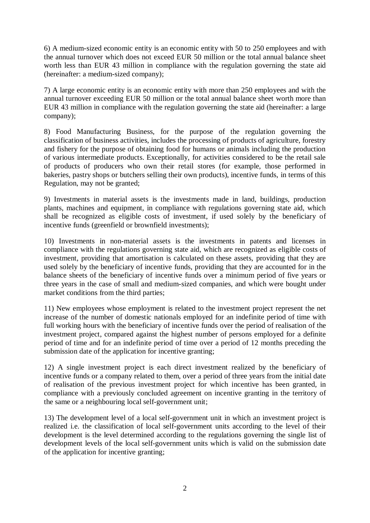6) A medium-sized economic entity is an economic entity with 50 to 250 employees and with the annual turnover which does not exceed EUR 50 million or the total annual balance sheet worth less than EUR 43 million in compliance with the regulation governing the state aid (hereinafter: a medium-sized company);

7) A large economic entity is an economic entity with more than 250 employees and with the annual turnover exceeding EUR 50 million or the total annual balance sheet worth more than EUR 43 million in compliance with the regulation governing the state aid (hereinafter: a large company);

8) Food Manufacturing Business, for the purpose of the regulation governing the classification of business activities, includes the processing of products of agriculture, forestry and fishery for the purpose of obtaining food for humans or animals including the production of various intermediate products. Exceptionally, for activities considered to be the retail sale of products of producers who own their retail stores (for example, those performed in bakeries, pastry shops or butchers selling their own products), incentive funds, in terms of this Regulation, may not be granted;

9) Investments in material assets is the investments made in land, buildings, production plants, machines and equipment, in compliance with regulations governing state aid, which shall be recognized as eligible costs of investment, if used solely by the beneficiary of incentive funds (greenfield or brownfield investments);

10) Investments in non-material assets is the investments in patents and licenses in compliance with the regulations governing state aid, which are recognized as eligible costs of investment, providing that amortisation is calculated on these assets, providing that they are used solely by the beneficiary of incentive funds, providing that they are accounted for in the balance sheets of the beneficiary of incentive funds over a minimum period of five years or three years in the case of small and medium-sized companies, and which were bought under market conditions from the third parties;

11) New employees whose employment is related to the investment project represent the net increase of the number of domestic nationals employed for an indefinite period of time with full working hours with the beneficiary of incentive funds over the period of realisation of the investment project, compared against the highest number of persons employed for a definite period of time and for an indefinite period of time over a period of 12 months preceding the submission date of the application for incentive granting;

12) A single investment project is each direct investment realized by the beneficiary of incentive funds or a company related to them, over a period of three years from the initial date of realisation of the previous investment project for which incentive has been granted, in compliance with a previously concluded agreement on incentive granting in the territory of the same or a neighbouring local self-government unit;

13) The development level of a local self-government unit in which an investment project is realized i.e. the classification of local self-government units according to the level of their development is the level determined according to the regulations governing the single list of development levels of the local self-government units which is valid on the submission date of the application for incentive granting;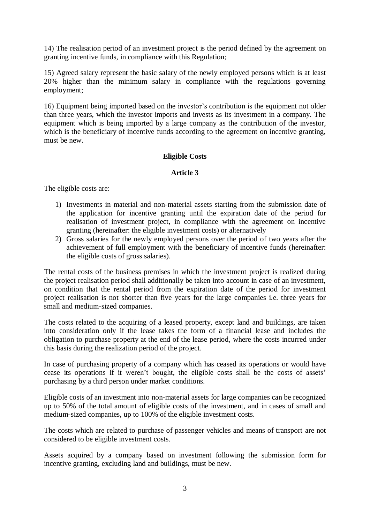14) The realisation period of an investment project is the period defined by the agreement on granting incentive funds, in compliance with this Regulation;

15) Agreed salary represent the basic salary of the newly employed persons which is at least 20% higher than the minimum salary in compliance with the regulations governing employment;

16) Equipment being imported based on the investor's contribution is the equipment not older than three years, which the investor imports and invests as its investment in a company. The equipment which is being imported by a large company as the contribution of the investor, which is the beneficiary of incentive funds according to the agreement on incentive granting, must be new.

### **Eligible Costs**

### **Article 3**

The eligible costs are:

- 1) Investments in material and non-material assets starting from the submission date of the application for incentive granting until the expiration date of the period for realisation of investment project, in compliance with the agreement on incentive granting (hereinafter: the eligible investment costs) or alternatively
- 2) Gross salaries for the newly employed persons over the period of two years after the achievement of full employment with the beneficiary of incentive funds (hereinafter: the eligible costs of gross salaries).

The rental costs of the business premises in which the investment project is realized during the project realisation period shall additionally be taken into account in case of an investment, on condition that the rental period from the expiration date of the period for investment project realisation is not shorter than five years for the large companies i.e. three years for small and medium-sized companies.

The costs related to the acquiring of a leased property, except land and buildings, are taken into consideration only if the lease takes the form of a financial lease and includes the obligation to purchase property at the end of the lease period, where the costs incurred under this basis during the realization period of the project.

In case of purchasing property of a company which has ceased its operations or would have cease its operations if it weren't bought, the eligible costs shall be the costs of assets' purchasing by a third person under market conditions.

Eligible costs of an investment into non-material assets for large companies can be recognized up to 50% of the total amount of eligible costs of the investment, and in cases of small and medium-sized companies, up to 100% of the eligible investment costs.

The costs which are related to purchase of passenger vehicles and means of transport are not considered to be eligible investment costs.

Assets acquired by a company based on investment following the submission form for incentive granting, excluding land and buildings, must be new.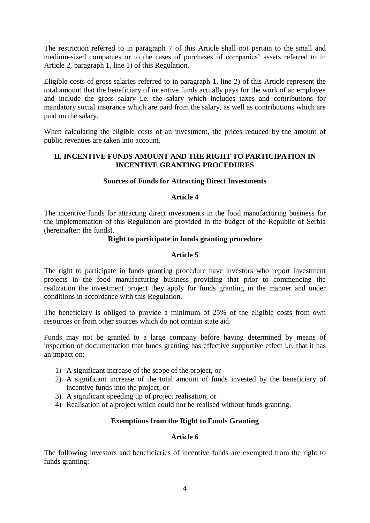The restriction referred to in paragraph 7 of this Article shall not pertain to the small and medium-sized companies or to the cases of purchases of companies' assets referred to in Article 2, paragraph 1, line 1) of this Regulation.

Eligible costs of gross salaries referred to in paragraph 1, line 2) of this Article represent the total amount that the beneficiary of incentive funds actually pays for the work of an employee and include the gross salary i.e. the salary which includes taxes and contributions for mandatory social insurance which are paid from the salary, as well as contributions which are paid on the salary.

When calculating the eligible costs of an investment, the prices reduced by the amount of public revenues are taken into account.

### **II. INCENTIVE FUNDS AMOUNT AND THE RIGHT TO PARTICIPATION IN INCENTIVE GRANTING PROCEDURES**

#### **Sources of Funds for Attracting Direct Investments**

#### **Article 4**

The incentive funds for attracting direct investments in the food manufacturing business for the implementation of this Regulation are provided in the budget of the Republic of Serbia (hereinafter: the funds).

#### **Right to participate in funds granting procedure**

### **Article 5**

The right to participate in funds granting procedure have investors who report investment projects in the food manufacturing business providing that prior to commencing the realization the investment project they apply for funds granting in the manner and under conditions in accordance with this Regulation.

The beneficiary is obliged to provide a minimum of 25% of the eligible costs from own resources or from other sources which do not contain state aid.

Funds may not be granted to a large company before having determined by means of inspection of documentation that funds granting has effective supportive effect i.e. that it has an impact on:

- 1) A significant increase of the scope of the project, or
- 2) A significant increase of the total amount of funds invested by the beneficiary of incentive funds into the project, or
- 3) A significant speeding up of project realisation, or
- 4) Realisation of a project which could not be realised without funds granting.

# **Exemptions from the Right to Funds Granting**

#### **Article 6**

The following investors and beneficiaries of incentive funds are exempted from the right to funds granting: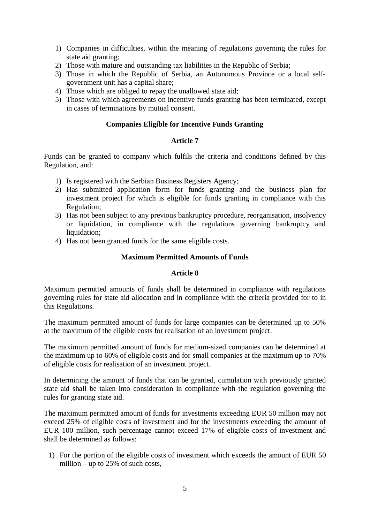- 1) Companies in difficulties, within the meaning of regulations governing the rules for state aid granting;
- 2) Those with mature and outstanding tax liabilities in the Republic of Serbia;
- 3) Those in which the Republic of Serbia, an Autonomous Province or a local selfgovernment unit has a capital share;
- 4) Those which are obliged to repay the unallowed state aid;
- 5) Those with which agreements on incentive funds granting has been terminated, except in cases of terminations by mutual consent.

### **Companies Eligible for Incentive Funds Granting**

# **Article 7**

Funds can be granted to company which fulfils the criteria and conditions defined by this Regulation, and:

- 1) Is registered with the Serbian Business Registers Agency;
- 2) Has submitted application form for funds granting and the business plan for investment project for which is eligible for funds granting in compliance with this Regulation;
- 3) Has not been subject to any previous bankruptcy procedure, reorganisation, insolvency or liquidation, in compliance with the regulations governing bankruptcy and liquidation:
- 4) Has not been granted funds for the same eligible costs.

### **Maximum Permitted Amounts of Funds**

#### **Article 8**

Maximum permitted amounts of funds shall be determined in compliance with regulations governing rules for state aid allocation and in compliance with the criteria provided for to in this Regulations.

The maximum permitted amount of funds for large companies can be determined up to 50% at the maximum of the eligible costs for realisation of an investment project.

The maximum permitted amount of funds for medium-sized companies can be determined at the maximum up to 60% of eligible costs and for small companies at the maximum up to 70% of eligible costs for realisation of an investment project.

In determining the amount of funds that can be granted, cumulation with previously granted state aid shall be taken into consideration in compliance with the regulation governing the rules for granting state aid.

The maximum permitted amount of funds for investments exceeding EUR 50 million may not exceed 25% of eligible costs of investment and for the investments exceeding the amount of EUR 100 million, such percentage cannot exceed 17% of eligible costs of investment and shall be determined as follows:

1) For the portion of the eligible costs of investment which exceeds the amount of EUR 50 million – up to  $25\%$  of such costs,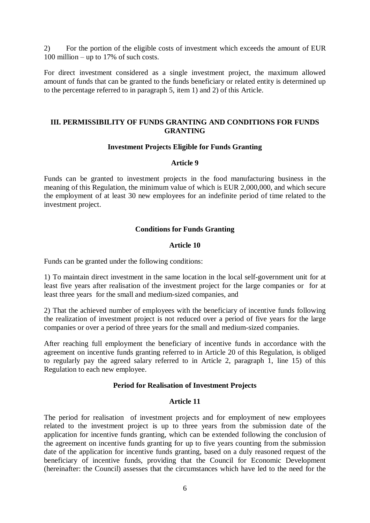2) For the portion of the eligible costs of investment which exceeds the amount of EUR 100 million – up to 17% of such costs.

For direct investment considered as a single investment project, the maximum allowed amount of funds that can be granted to the funds beneficiary or related entity is determined up to the percentage referred to in paragraph 5, item 1) and 2) of this Article.

### **III. PERMISSIBILITY OF FUNDS GRANTING AND CONDITIONS FOR FUNDS GRANTING**

#### **Investment Projects Eligible for Funds Granting**

#### **Article 9**

Funds can be granted to investment projects in the food manufacturing business in the meaning of this Regulation, the minimum value of which is EUR 2,000,000, and which secure the employment of at least 30 new employees for an indefinite period of time related to the investment project.

### **Conditions for Funds Granting**

#### **Article 10**

Funds can be granted under the following conditions:

1) To maintain direct investment in the same location in the local self-government unit for at least five years after realisation of the investment project for the large companies or for at least three years for the small and medium-sized companies, and

2) That the achieved number of employees with the beneficiary of incentive funds following the realization of investment project is not reduced over a period of five years for the large companies or over a period of three years for the small and medium-sized companies.

After reaching full employment the beneficiary of incentive funds in accordance with the agreement on incentive funds granting referred to in Article 20 of this Regulation, is obliged to regularly pay the agreed salary referred to in Article 2, paragraph 1, line 15) of this Regulation to each new employee.

### **Period for Realisation of Investment Projects**

#### **Article 11**

The period for realisation of investment projects and for employment of new employees related to the investment project is up to three years from the submission date of the application for incentive funds granting, which can be extended following the conclusion of the agreement on incentive funds granting for up to five years counting from the submission date of the application for incentive funds granting, based on a duly reasoned request of the beneficiary of incentive funds, providing that the Council for Economic Development (hereinafter: the Council) assesses that the circumstances which have led to the need for the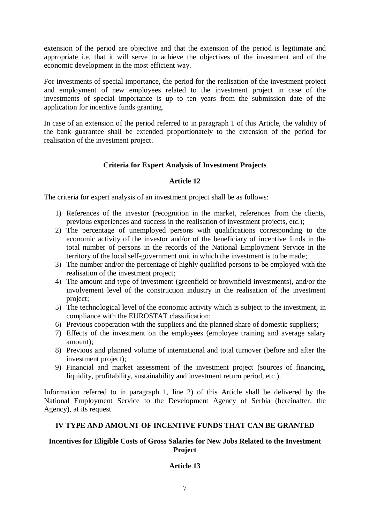extension of the period are objective and that the extension of the period is legitimate and appropriate i.e. that it will serve to achieve the objectives of the investment and of the economic development in the most efficient way.

For investments of special importance, the period for the realisation of the investment project and employment of new employees related to the investment project in case of the investments of special importance is up to ten years from the submission date of the application for incentive funds granting.

In case of an extension of the period referred to in paragraph 1 of this Article, the validity of the bank guarantee shall be extended proportionately to the extension of the period for realisation of the investment project.

# **Criteria for Expert Analysis of Investment Projects**

### **Article 12**

The criteria for expert analysis of an investment project shall be as follows:

- 1) References of the investor (recognition in the market, references from the clients, previous experiences and success in the realisation of investment projects, etc.);
- 2) The percentage of unemployed persons with qualifications corresponding to the economic activity of the investor and/or of the beneficiary of incentive funds in the total number of persons in the records of the National Employment Service in the territory of the local self-government unit in which the investment is to be made;
- 3) The number and/or the percentage of highly qualified persons to be employed with the realisation of the investment project;
- 4) The amount and type of investment (greenfield or brownfield investments), and/or the involvement level of the construction industry in the realisation of the investment project;
- 5) The technological level of the economic activity which is subject to the investment, in compliance with the EUROSTAT classification;
- 6) Previous cooperation with the suppliers and the planned share of domestic suppliers;
- 7) Effects of the investment on the employees (employee training and average salary amount);
- 8) Previous and planned volume of international and total turnover (before and after the investment project);
- 9) Financial and market assessment of the investment project (sources of financing, liquidity, profitability, sustainability and investment return period, etc.).

Information referred to in paragraph 1, line 2) of this Article shall be delivered by the National Employment Service to the Development Agency of Serbia (hereinafter: the Agency), at its request.

# **IV TYPE AND AMOUNT OF INCENTIVE FUNDS THAT CAN BE GRANTED**

# **Incentives for Eligible Costs of Gross Salaries for New Jobs Related to the Investment Project**

# **Article 13**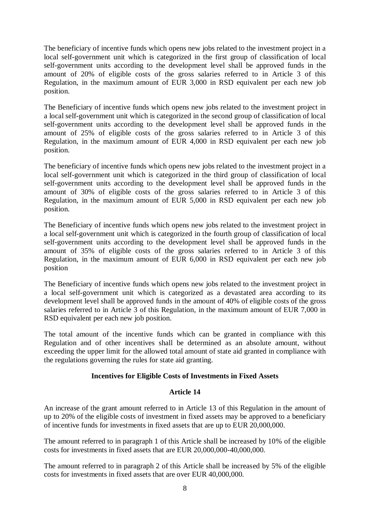The beneficiary of incentive funds which opens new jobs related to the investment project in a local self-government unit which is categorized in the first group of classification of local self-government units according to the development level shall be approved funds in the amount of 20% of eligible costs of the gross salaries referred to in Article 3 of this Regulation, in the maximum amount of EUR 3,000 in RSD equivalent per each new job position.

The Beneficiary of incentive funds which opens new jobs related to the investment project in a local self-government unit which is categorized in the second group of classification of local self-government units according to the development level shall be approved funds in the amount of 25% of eligible costs of the gross salaries referred to in Article 3 of this Regulation, in the maximum amount of EUR 4,000 in RSD equivalent per each new job position.

The beneficiary of incentive funds which opens new jobs related to the investment project in a local self-government unit which is categorized in the third group of classification of local self-government units according to the development level shall be approved funds in the amount of 30% of eligible costs of the gross salaries referred to in Article 3 of this Regulation, in the maximum amount of EUR 5,000 in RSD equivalent per each new job position.

The Beneficiary of incentive funds which opens new jobs related to the investment project in a local self-government unit which is categorized in the fourth group of classification of local self-government units according to the development level shall be approved funds in the amount of 35% of eligible costs of the gross salaries referred to in Article 3 of this Regulation, in the maximum amount of EUR 6,000 in RSD equivalent per each new job position

The Beneficiary of incentive funds which opens new jobs related to the investment project in a local self-government unit which is categorized as a devastated area according to its development level shall be approved funds in the amount of 40% of eligible costs of the gross salaries referred to in Article 3 of this Regulation, in the maximum amount of EUR 7,000 in RSD equivalent per each new job position.

The total amount of the incentive funds which can be granted in compliance with this Regulation and of other incentives shall be determined as an absolute amount, without exceeding the upper limit for the allowed total amount of state aid granted in compliance with the regulations governing the rules for state aid granting.

# **Incentives for Eligible Costs of Investments in Fixed Assets**

#### **Article 14**

An increase of the grant amount referred to in Article 13 of this Regulation in the amount of up to 20% of the eligible costs of investment in fixed assets may be approved to a beneficiary of incentive funds for investments in fixed assets that are up to EUR 20,000,000.

The amount referred to in paragraph 1 of this Article shall be increased by 10% of the eligible costs for investments in fixed assets that are EUR 20,000,000-40,000,000.

The amount referred to in paragraph 2 of this Article shall be increased by 5% of the eligible costs for investments in fixed assets that are over EUR 40,000,000.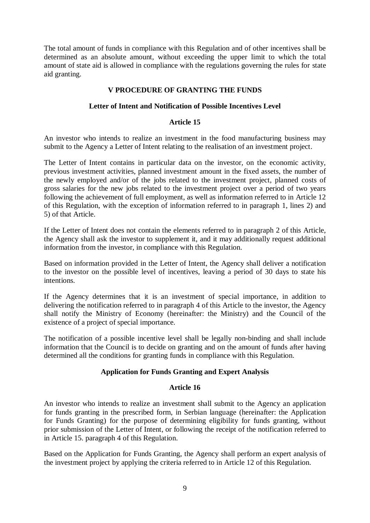The total amount of funds in compliance with this Regulation and of other incentives shall be determined as an absolute amount, without exceeding the upper limit to which the total amount of state aid is allowed in compliance with the regulations governing the rules for state aid granting.

### **V PROCEDURE OF GRANTING THE FUNDS**

#### **Letter of Intent and Notification of Possible Incentives Level**

#### **Article 15**

An investor who intends to realize an investment in the food manufacturing business may submit to the Agency a Letter of Intent relating to the realisation of an investment project.

The Letter of Intent contains in particular data on the investor, on the economic activity, previous investment activities, planned investment amount in the fixed assets, the number of the newly employed and/or of the jobs related to the investment project, planned costs of gross salaries for the new jobs related to the investment project over a period of two years following the achievement of full employment, as well as information referred to in Article 12 of this Regulation, with the exception of information referred to in paragraph 1, lines 2) and 5) of that Article.

If the Letter of Intent does not contain the elements referred to in paragraph 2 of this Article, the Agency shall ask the investor to supplement it, and it may additionally request additional information from the investor, in compliance with this Regulation.

Based on information provided in the Letter of Intent, the Agency shall deliver a notification to the investor on the possible level of incentives, leaving a period of 30 days to state his intentions.

If the Agency determines that it is an investment of special importance, in addition to delivering the notification referred to in paragraph 4 of this Article to the investor, the Agency shall notify the Ministry of Economy (hereinafter: the Ministry) and the Council of the existence of a project of special importance.

The notification of a possible incentive level shall be legally non-binding and shall include information that the Council is to decide on granting and on the amount of funds after having determined all the conditions for granting funds in compliance with this Regulation.

#### **Application for Funds Granting and Expert Analysis**

### **Article 16**

An investor who intends to realize an investment shall submit to the Agency an application for funds granting in the prescribed form, in Serbian language (hereinafter: the Application for Funds Granting) for the purpose of determining eligibility for funds granting, without prior submission of the Letter of Intent, or following the receipt of the notification referred to in Article 15. paragraph 4 of this Regulation.

Based on the Application for Funds Granting, the Agency shall perform an expert analysis of the investment project by applying the criteria referred to in Article 12 of this Regulation.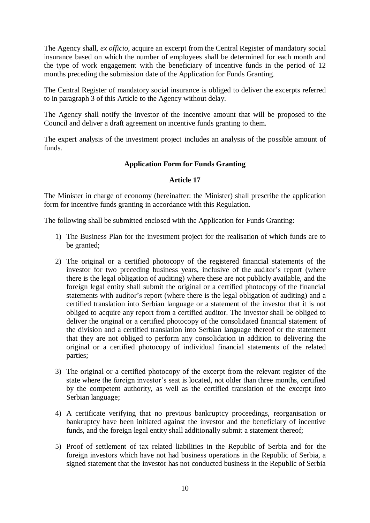The Agency shall, *ex officio*, acquire an excerpt from the Central Register of mandatory social insurance based on which the number of employees shall be determined for each month and the type of work engagement with the beneficiary of incentive funds in the period of 12 months preceding the submission date of the Application for Funds Granting.

The Central Register of mandatory social insurance is obliged to deliver the excerpts referred to in paragraph 3 of this Article to the Agency without delay.

The Agency shall notify the investor of the incentive amount that will be proposed to the Council and deliver a draft agreement on incentive funds granting to them.

The expert analysis of the investment project includes an analysis of the possible amount of funds.

# **Application Form for Funds Granting**

#### **Article 17**

The Minister in charge of economy (hereinafter: the Minister) shall prescribe the application form for incentive funds granting in accordance with this Regulation.

The following shall be submitted enclosed with the Application for Funds Granting:

- 1) The Business Plan for the investment project for the realisation of which funds are to be granted;
- 2) The original or a certified photocopy of the registered financial statements of the investor for two preceding business years, inclusive of the auditor's report (where there is the legal obligation of auditing) where these are not publicly available, and the foreign legal entity shall submit the original or a certified photocopy of the financial statements with auditor's report (where there is the legal obligation of auditing) and a certified translation into Serbian language or a statement of the investor that it is not obliged to acquire any report from a certified auditor. The investor shall be obliged to deliver the original or a certified photocopy of the consolidated financial statement of the division and a certified translation into Serbian language thereof or the statement that they are not obliged to perform any consolidation in addition to delivering the original or a certified photocopy of individual financial statements of the related parties;
- 3) The original or a certified photocopy of the excerpt from the relevant register of the state where the foreign investor's seat is located, not older than three months, certified by the competent authority, as well as the certified translation of the excerpt into Serbian language;
- 4) A certificate verifying that no previous bankruptcy proceedings, reorganisation or bankruptcy have been initiated against the investor and the beneficiary of incentive funds, and the foreign legal entity shall additionally submit a statement thereof;
- 5) Proof of settlement of tax related liabilities in the Republic of Serbia and for the foreign investors which have not had business operations in the Republic of Serbia, a signed statement that the investor has not conducted business in the Republic of Serbia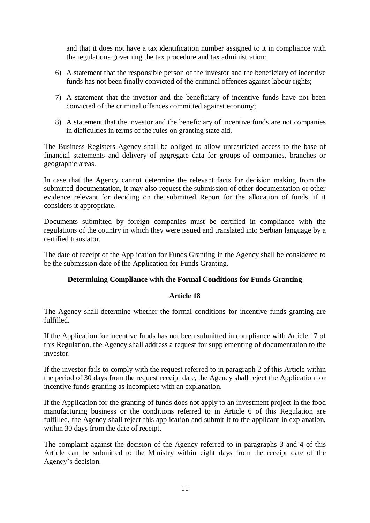and that it does not have a tax identification number assigned to it in compliance with the regulations governing the tax procedure and tax administration;

- 6) A statement that the responsible person of the investor and the beneficiary of incentive funds has not been finally convicted of the criminal offences against labour rights;
- 7) A statement that the investor and the beneficiary of incentive funds have not been convicted of the criminal offences committed against economy;
- 8) A statement that the investor and the beneficiary of incentive funds are not companies in difficulties in terms of the rules on granting state aid.

The Business Registers Agency shall be obliged to allow unrestricted access to the base of financial statements and delivery of aggregate data for groups of companies, branches or geographic areas.

In case that the Agency cannot determine the relevant facts for decision making from the submitted documentation, it may also request the submission of other documentation or other evidence relevant for deciding on the submitted Report for the allocation of funds, if it considers it appropriate.

Documents submitted by foreign companies must be certified in compliance with the regulations of the country in which they were issued and translated into Serbian language by a certified translator.

The date of receipt of the Application for Funds Granting in the Agency shall be considered to be the submission date of the Application for Funds Granting.

# **Determining Compliance with the Formal Conditions for Funds Granting**

#### **Article 18**

The Agency shall determine whether the formal conditions for incentive funds granting are fulfilled.

If the Application for incentive funds has not been submitted in compliance with Article 17 of this Regulation, the Agency shall address a request for supplementing of documentation to the investor.

If the investor fails to comply with the request referred to in paragraph 2 of this Article within the period of 30 days from the request receipt date, the Agency shall reject the Application for incentive funds granting as incomplete with an explanation.

If the Application for the granting of funds does not apply to an investment project in the food manufacturing business or the conditions referred to in Article 6 of this Regulation are fulfilled, the Agency shall reject this application and submit it to the applicant in explanation, within 30 days from the date of receipt.

The complaint against the decision of the Agency referred to in paragraphs 3 and 4 of this Article can be submitted to the Ministry within eight days from the receipt date of the Agency's decision.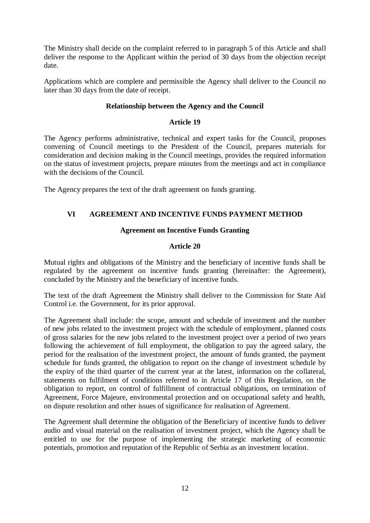The Ministry shall decide on the complaint referred to in paragraph 5 of this Article and shall deliver the response to the Applicant within the period of 30 days from the objection receipt date.

Applications which are complete and permissible the Agency shall deliver to the Council no later than 30 days from the date of receipt.

### **Relationship between the Agency and the Council**

### **Article 19**

The Agency performs administrative, technical and expert tasks for the Council, proposes convening of Council meetings to the President of the Council, prepares materials for consideration and decision making in the Council meetings, provides the required information on the status of investment projects, prepare minutes from the meetings and act in compliance with the decisions of the Council.

The Agency prepares the text of the draft agreement on funds granting.

# **VI AGREEMENT AND INCENTIVE FUNDS PAYMENT METHOD**

# **Agreement on Incentive Funds Granting**

### **Article 20**

Mutual rights and obligations of the Ministry and the beneficiary of incentive funds shall be regulated by the agreement on incentive funds granting (hereinafter: the Agreement), concluded by the Ministry and the beneficiary of incentive funds.

The text of the draft Agreement the Ministry shall deliver to the Commission for State Aid Control i.e. the Government, for its prior approval.

The Agreement shall include: the scope, amount and schedule of investment and the number of new jobs related to the investment project with the schedule of employment, planned costs of gross salaries for the new jobs related to the investment project over a period of two years following the achievement of full employment, the obligation to pay the agreed salary, the period for the realisation of the investment project, the amount of funds granted, the payment schedule for funds granted, the obligation to report on the change of investment schedule by the expiry of the third quarter of the current year at the latest, information on the collateral, statements on fulfilment of conditions referred to in Article 17 of this Regulation, on the obligation to report, on control of fulfillment of contractual obligations, on termination of Agreement, Force Majeure, environmental protection and on occupational safety and health, on dispute resolution and other issues of significance for realisation of Agreement.

The Agreement shall determine the obligation of the Beneficiary of incentive funds to deliver audio and visual material on the realisation of investment project, which the Agency shall be entitled to use for the purpose of implementing the strategic marketing of economic potentials, promotion and reputation of the Republic of Serbia as an investment location.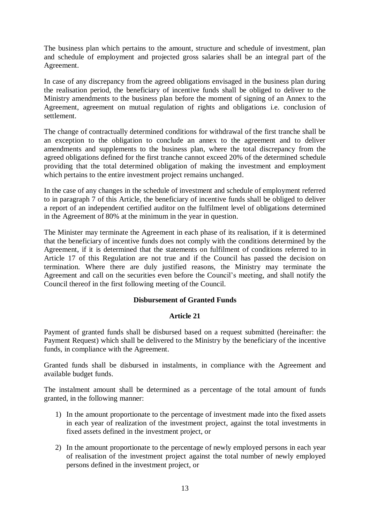The business plan which pertains to the amount, structure and schedule of investment, plan and schedule of employment and projected gross salaries shall be an integral part of the Agreement.

In case of any discrepancy from the agreed obligations envisaged in the business plan during the realisation period, the beneficiary of incentive funds shall be obliged to deliver to the Ministry amendments to the business plan before the moment of signing of an Annex to the Agreement, agreement on mutual regulation of rights and obligations i.e. conclusion of settlement.

The change of contractually determined conditions for withdrawal of the first tranche shall be an exception to the obligation to conclude an annex to the agreement and to deliver amendments and supplements to the business plan, where the total discrepancy from the agreed obligations defined for the first tranche cannot exceed 20% of the determined schedule providing that the total determined obligation of making the investment and employment which pertains to the entire investment project remains unchanged.

In the case of any changes in the schedule of investment and schedule of employment referred to in paragraph 7 of this Article, the beneficiary of incentive funds shall be obliged to deliver a report of an independent certified auditor on the fulfilment level of obligations determined in the Agreement of 80% at the minimum in the year in question.

The Minister may terminate the Agreement in each phase of its realisation, if it is determined that the beneficiary of incentive funds does not comply with the conditions determined by the Agreement, if it is determined that the statements on fulfilment of conditions referred to in Article 17 of this Regulation are not true and if the Council has passed the decision on termination. Where there are duly justified reasons, the Ministry may terminate the Agreement and call on the securities even before the Council's meeting, and shall notify the Council thereof in the first following meeting of the Council.

# **Disbursement of Granted Funds**

# **Article 21**

Payment of granted funds shall be disbursed based on a request submitted (hereinafter: the Payment Request) which shall be delivered to the Ministry by the beneficiary of the incentive funds, in compliance with the Agreement.

Granted funds shall be disbursed in instalments, in compliance with the Agreement and available budget funds.

The instalment amount shall be determined as a percentage of the total amount of funds granted, in the following manner:

- 1) In the amount proportionate to the percentage of investment made into the fixed assets in each year of realization of the investment project, against the total investments in fixed assets defined in the investment project, or
- 2) In the amount proportionate to the percentage of newly employed persons in each year of realisation of the investment project against the total number of newly employed persons defined in the investment project, or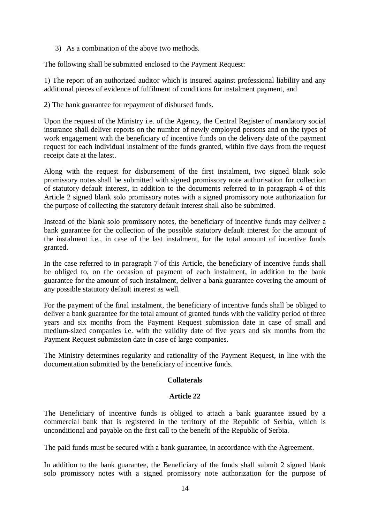3) As a combination of the above two methods.

The following shall be submitted enclosed to the Payment Request:

1) The report of an authorized auditor which is insured against professional liability and any additional pieces of evidence of fulfilment of conditions for instalment payment, and

2) The bank guarantee for repayment of disbursed funds.

Upon the request of the Ministry i.e. of the Agency, the Central Register of mandatory social insurance shall deliver reports on the number of newly employed persons and on the types of work engagement with the beneficiary of incentive funds on the delivery date of the payment request for each individual instalment of the funds granted, within five days from the request receipt date at the latest.

Along with the request for disbursement of the first instalment, two signed blank solo promissory notes shall be submitted with signed promissory note authorisation for collection of statutory default interest, in addition to the documents referred to in paragraph 4 of this Article 2 signed blank solo promissory notes with a signed promissory note authorization for the purpose of collecting the statutory default interest shall also be submitted.

Instead of the blank solo promissory notes, the beneficiary of incentive funds may deliver a bank guarantee for the collection of the possible statutory default interest for the amount of the instalment i.e., in case of the last instalment, for the total amount of incentive funds granted.

In the case referred to in paragraph 7 of this Article, the beneficiary of incentive funds shall be obliged to, on the occasion of payment of each instalment, in addition to the bank guarantee for the amount of such instalment, deliver a bank guarantee covering the amount of any possible statutory default interest as well.

For the payment of the final instalment, the beneficiary of incentive funds shall be obliged to deliver a bank guarantee for the total amount of granted funds with the validity period of three years and six months from the Payment Request submission date in case of small and medium-sized companies i.e. with the validity date of five years and six months from the Payment Request submission date in case of large companies.

The Ministry determines regularity and rationality of the Payment Request, in line with the documentation submitted by the beneficiary of incentive funds.

#### **Collaterals**

#### **Article 22**

The Beneficiary of incentive funds is obliged to attach a bank guarantee issued by a commercial bank that is registered in the territory of the Republic of Serbia, which is unconditional and payable on the first call to the benefit of the Republic of Serbia.

The paid funds must be secured with a bank guarantee, in accordance with the Agreement.

In addition to the bank guarantee, the Beneficiary of the funds shall submit 2 signed blank solo promissory notes with a signed promissory note authorization for the purpose of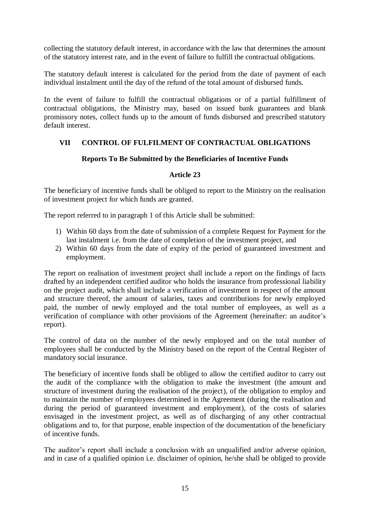collecting the statutory default interest, in accordance with the law that determines the amount of the statutory interest rate, and in the event of failure to fulfill the contractual obligations.

The statutory default interest is calculated for the period from the date of payment of each individual instalment until the day of the refund of the total amount of disbursed funds.

In the event of failure to fulfill the contractual obligations or of a partial fulfillment of contractual obligations, the Ministry may, based on issued bank guarantees and blank promissory notes, collect funds up to the amount of funds disbursed and prescribed statutory default interest.

# **VII CONTROL OF FULFILMENT OF CONTRACTUAL OBLIGATIONS**

# **Reports To Be Submitted by the Beneficiaries of Incentive Funds**

# **Article 23**

The beneficiary of incentive funds shall be obliged to report to the Ministry on the realisation of investment project for which funds are granted.

The report referred to in paragraph 1 of this Article shall be submitted:

- 1) Within 60 days from the date of submission of a complete Request for Payment for the last instalment i.e. from the date of completion of the investment project, and
- 2) Within 60 days from the date of expiry of the period of guaranteed investment and employment.

The report on realisation of investment project shall include a report on the findings of facts drafted by an independent certified auditor who holds the insurance from professional liability on the project audit, which shall include a verification of investment in respect of the amount and structure thereof, the amount of salaries, taxes and contributions for newly employed paid, the number of newly employed and the total number of employees, as well as a verification of compliance with other provisions of the Agreement (hereinafter: an auditor's report).

The control of data on the number of the newly employed and on the total number of employees shall be conducted by the Ministry based on the report of the Central Register of mandatory social insurance.

The beneficiary of incentive funds shall be obliged to allow the certified auditor to carry out the audit of the compliance with the obligation to make the investment (the amount and structure of investment during the realisation of the project), of the obligation to employ and to maintain the number of employees determined in the Agreement (during the realisation and during the period of guaranteed investment and employment), of the costs of salaries envisaged in the investment project, as well as of discharging of any other contractual obligations and to, for that purpose, enable inspection of the documentation of the beneficiary of incentive funds.

The auditor's report shall include a conclusion with an unqualified and/or adverse opinion, and in case of a qualified opinion i.e. disclaimer of opinion, he/she shall be obliged to provide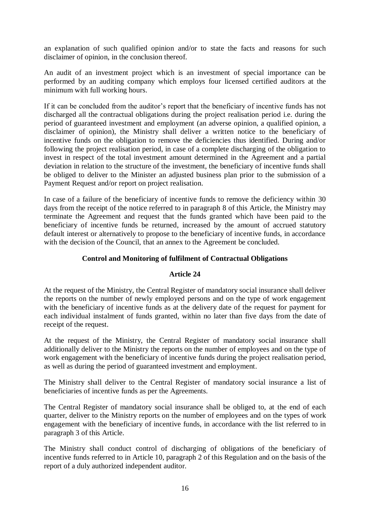an explanation of such qualified opinion and/or to state the facts and reasons for such disclaimer of opinion, in the conclusion thereof.

An audit of an investment project which is an investment of special importance can be performed by an auditing company which employs four licensed certified auditors at the minimum with full working hours.

If it can be concluded from the auditor's report that the beneficiary of incentive funds has not discharged all the contractual obligations during the project realisation period i.e. during the period of guaranteed investment and employment (an adverse opinion, a qualified opinion, a disclaimer of opinion), the Ministry shall deliver a written notice to the beneficiary of incentive funds on the obligation to remove the deficiencies thus identified. During and/or following the project realisation period, in case of a complete discharging of the obligation to invest in respect of the total investment amount determined in the Agreement and a partial deviation in relation to the structure of the investment, the beneficiary of incentive funds shall be obliged to deliver to the Minister an adjusted business plan prior to the submission of a Payment Request and/or report on project realisation.

In case of a failure of the beneficiary of incentive funds to remove the deficiency within 30 days from the receipt of the notice referred to in paragraph 8 of this Article, the Ministry may terminate the Agreement and request that the funds granted which have been paid to the beneficiary of incentive funds be returned, increased by the amount of accrued statutory default interest or alternatively to propose to the beneficiary of incentive funds, in accordance with the decision of the Council, that an annex to the Agreement be concluded.

# **Control and Monitoring of fulfilment of Contractual Obligations**

# **Article 24**

At the request of the Ministry, the Central Register of mandatory social insurance shall deliver the reports on the number of newly employed persons and on the type of work engagement with the beneficiary of incentive funds as at the delivery date of the request for payment for each individual instalment of funds granted, within no later than five days from the date of receipt of the request.

At the request of the Ministry, the Central Register of mandatory social insurance shall additionally deliver to the Ministry the reports on the number of employees and on the type of work engagement with the beneficiary of incentive funds during the project realisation period, as well as during the period of guaranteed investment and employment.

The Ministry shall deliver to the Central Register of mandatory social insurance a list of beneficiaries of incentive funds as per the Agreements.

The Central Register of mandatory social insurance shall be obliged to, at the end of each quarter, deliver to the Ministry reports on the number of employees and on the types of work engagement with the beneficiary of incentive funds, in accordance with the list referred to in paragraph 3 of this Article.

The Ministry shall conduct control of discharging of obligations of the beneficiary of incentive funds referred to in Article 10, paragraph 2 of this Regulation and on the basis of the report of a duly authorized independent auditor.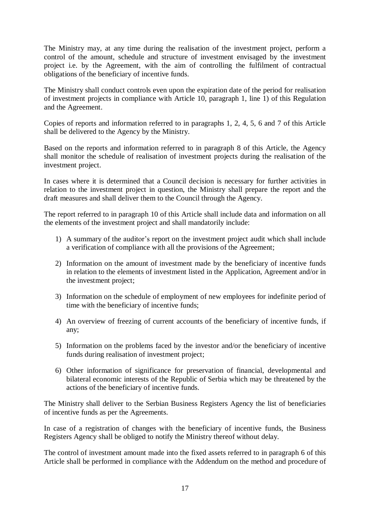The Ministry may, at any time during the realisation of the investment project, perform a control of the amount, schedule and structure of investment envisaged by the investment project i.e. by the Agreement, with the aim of controlling the fulfilment of contractual obligations of the beneficiary of incentive funds.

The Ministry shall conduct controls even upon the expiration date of the period for realisation of investment projects in compliance with Article 10, paragraph 1, line 1) of this Regulation and the Agreement.

Copies of reports and information referred to in paragraphs 1, 2, 4, 5, 6 and 7 of this Article shall be delivered to the Agency by the Ministry.

Based on the reports and information referred to in paragraph 8 of this Article, the Agency shall monitor the schedule of realisation of investment projects during the realisation of the investment project.

In cases where it is determined that a Council decision is necessary for further activities in relation to the investment project in question, the Ministry shall prepare the report and the draft measures and shall deliver them to the Council through the Agency.

The report referred to in paragraph 10 of this Article shall include data and information on all the elements of the investment project and shall mandatorily include:

- 1) A summary of the auditor's report on the investment project audit which shall include a verification of compliance with all the provisions of the Agreement;
- 2) Information on the amount of investment made by the beneficiary of incentive funds in relation to the elements of investment listed in the Application, Agreement and/or in the investment project;
- 3) Information on the schedule of employment of new employees for indefinite period of time with the beneficiary of incentive funds;
- 4) An overview of freezing of current accounts of the beneficiary of incentive funds, if any;
- 5) Information on the problems faced by the investor and/or the beneficiary of incentive funds during realisation of investment project;
- 6) Other information of significance for preservation of financial, developmental and bilateral economic interests of the Republic of Serbia which may be threatened by the actions of the beneficiary of incentive funds.

The Ministry shall deliver to the Serbian Business Registers Agency the list of beneficiaries of incentive funds as per the Agreements.

In case of a registration of changes with the beneficiary of incentive funds, the Business Registers Agency shall be obliged to notify the Ministry thereof without delay.

The control of investment amount made into the fixed assets referred to in paragraph 6 of this Article shall be performed in compliance with the Addendum on the method and procedure of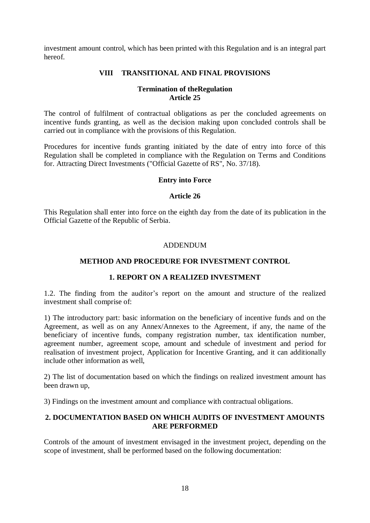investment amount control, which has been printed with this Regulation and is an integral part hereof.

### **VIII TRANSITIONAL AND FINAL PROVISIONS**

### **Termination of theRegulation Article 25**

The control of fulfilment of contractual obligations as per the concluded agreements on incentive funds granting, as well as the decision making upon concluded controls shall be carried out in compliance with the provisions of this Regulation.

Procedures for incentive funds granting initiated by the date of entry into force of this Regulation shall be completed in compliance with the Regulation on Terms and Conditions for. Attracting Direct Investments ("Official Gazette of RS", No. 37/18).

#### **Entry into Force**

#### **Article 26**

This Regulation shall enter into force on the eighth day from the date of its publication in the Official Gazette of the Republic of Serbia.

#### ADDENDUM

### **METHOD AND PROCEDURE FOR INVESTMENT CONTROL**

#### **1. REPORT ON A REALIZED INVESTMENT**

1.2. The finding from the auditor's report on the amount and structure of the realized investment shall comprise of:

1) The introductory part: basic information on the beneficiary of incentive funds and on the Agreement, as well as on any Annex/Annexes to the Agreement, if any, the name of the beneficiary of incentive funds, company registration number, tax identification number, agreement number, agreement scope, amount and schedule of investment and period for realisation of investment project, Application for Incentive Granting, and it can additionally include other information as well,

2) The list of documentation based on which the findings on realized investment amount has been drawn up,

3) Findings on the investment amount and compliance with contractual obligations.

### **2. DOCUMENTATION BASED ON WHICH AUDITS OF INVESTMENT AMOUNTS ARE PERFORMED**

Controls of the amount of investment envisaged in the investment project, depending on the scope of investment, shall be performed based on the following documentation: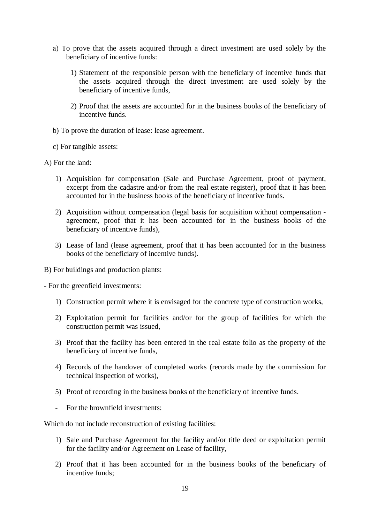- а) To prove that the assets acquired through a direct investment are used solely by the beneficiary of incentive funds:
	- 1) Statement of the responsible person with the beneficiary of incentive funds that the assets acquired through the direct investment are used solely by the beneficiary of incentive funds,
	- 2) Proof that the assets are accounted for in the business books of the beneficiary of incentive funds.
- b) To prove the duration of lease: lease agreement.
- c) For tangible assets:
- А) For the land:
	- 1) Acquisition for compensation (Sale and Purchase Agreement, proof of payment, excerpt from the cadastre and/or from the real estate register), proof that it has been accounted for in the business books of the beneficiary of incentive funds.
	- 2) Acquisition without compensation (legal basis for acquisition without compensation agreement, proof that it has been accounted for in the business books of the beneficiary of incentive funds),
	- 3) Lease of land (lease agreement, proof that it has been accounted for in the business books of the beneficiary of incentive funds).
- B) For buildings and production plants:
- For the greenfield investments:
	- 1) Construction permit where it is envisaged for the concrete type of construction works,
	- 2) Exploitation permit for facilities and/or for the group of facilities for which the construction permit was issued,
	- 3) Proof that the facility has been entered in the real estate folio as the property of the beneficiary of incentive funds,
	- 4) Records of the handover of completed works (records made by the commission for technical inspection of works),
	- 5) Proof of recording in the business books of the beneficiary of incentive funds.
	- For the brownfield investments:

Which do not include reconstruction of existing facilities:

- 1) Sale and Purchase Agreement for the facility and/or title deed or exploitation permit for the facility and/or Agreement on Lease of facility,
- 2) Proof that it has been accounted for in the business books of the beneficiary of incentive funds;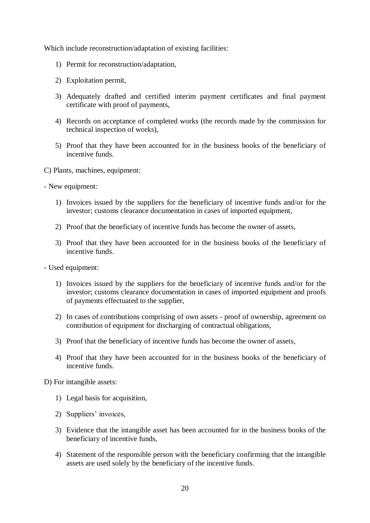Which include reconstruction/adaptation of existing facilities:

- 1) Permit for reconstruction/adaptation,
- 2) Exploitation permit,
- 3) Adequately drafted and certified interim payment certificates and final payment certificate with proof of payments,
- 4) Records on acceptance of completed works (the records made by the commission for technical inspection of works),
- 5) Proof that they have been accounted for in the business books of the beneficiary of incentive funds.

C) Plants, machines, equipment:

- New equipment:

- 1) Invoices issued by the suppliers for the beneficiary of incentive funds and/or for the investor; customs clearance documentation in cases of imported equipment,
- 2) Proof that the beneficiary of incentive funds has become the owner of assets,
- 3) Proof that they have been accounted for in the business books of the beneficiary of incentive funds.
- Used equipment:
	- 1) Invoices issued by the suppliers for the beneficiary of incentive funds and/or for the investor; customs clearance documentation in cases of imported equipment and proofs of payments effectuated to the supplier,
	- 2) In cases of contributions comprising of own assets proof of ownership, agreement on contribution of equipment for discharging of contractual obligations,
	- 3) Proof that the beneficiary of incentive funds has become the owner of assets,
	- 4) Proof that they have been accounted for in the business books of the beneficiary of incentive funds.

D) For intangible assets:

- 1) Legal basis for acquisition,
- 2) Suppliers' invoices,
- 3) Evidence that the intangible asset has been accounted for in the business books of the beneficiary of incentive funds,
- 4) Statement of the responsible person with the beneficiary confirming that the intangible assets are used solely by the beneficiary of the incentive funds.